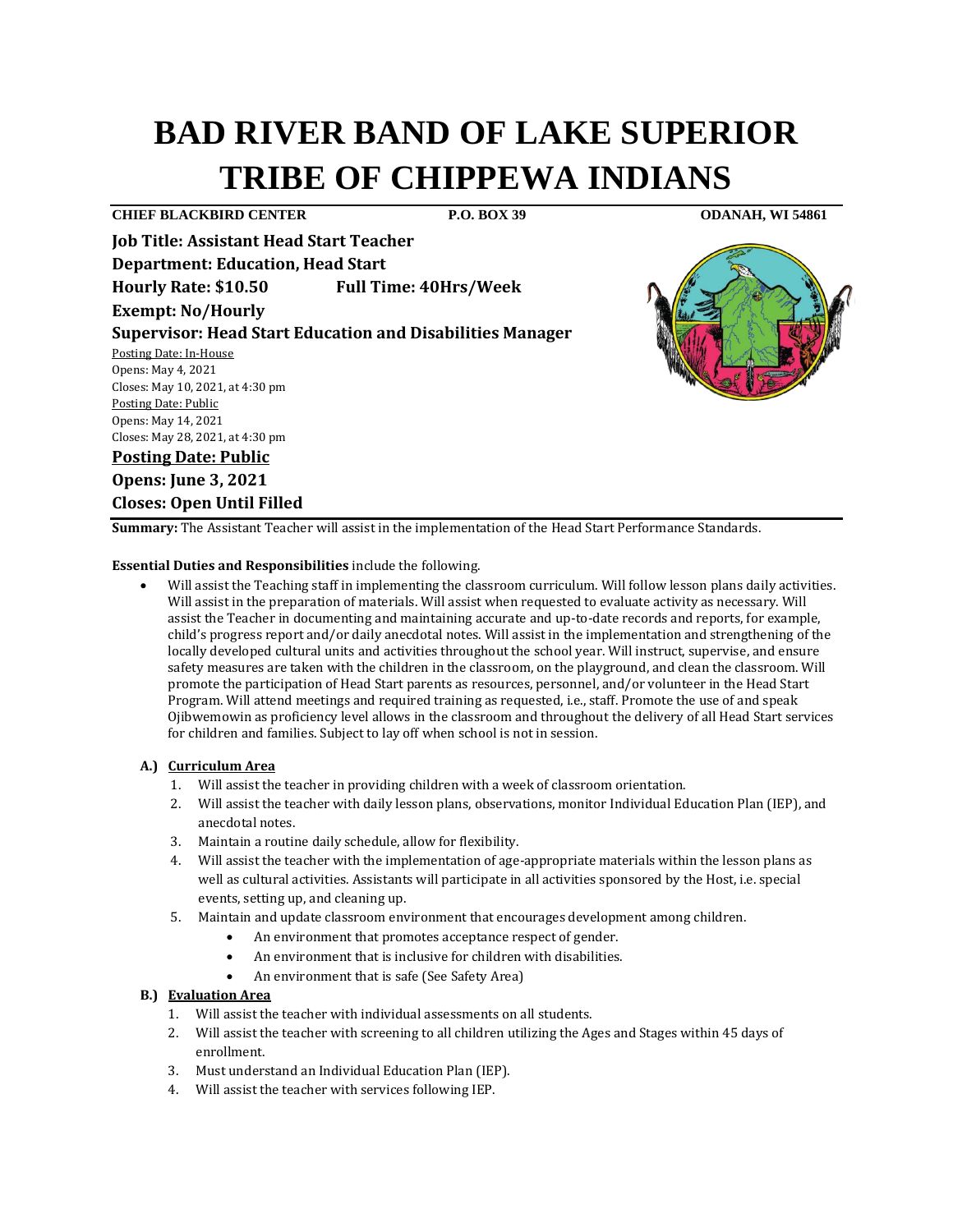# **BAD RIVER BAND OF LAKE SUPERIOR TRIBE OF CHIPPEWA INDIANS**

**CHIEF BLACKBIRD CENTER P.O. BOX 39 ODANAH, WI 54861**

**Job Title: Assistant Head Start Teacher Department: Education, Head Start Hourly Rate: \$10.50 Full Time: 40Hrs/Week Exempt: No/Hourly** 

**Supervisor: Head Start Education and Disabilities Manager** 

Posting Date: In-House Opens: May 4, 2021 Closes: May 10, 2021, at 4:30 pm Posting Date: Public Opens: May 14, 2021 Closes: May 28, 2021, at 4:30 pm

# **Posting Date: Public**

**Opens: June 3, 2021 Closes: Open Until Filled**

**Summary:** The Assistant Teacher will assist in the implementation of the Head Start Performance Standards.

**Essential Duties and Responsibilities** include the following.

• Will assist the Teaching staff in implementing the classroom curriculum. Will follow lesson plans daily activities. Will assist in the preparation of materials. Will assist when requested to evaluate activity as necessary. Will assist the Teacher in documenting and maintaining accurate and up-to-date records and reports, for example, child's progress report and/or daily anecdotal notes. Will assist in the implementation and strengthening of the locally developed cultural units and activities throughout the school year. Will instruct, supervise, and ensure safety measures are taken with the children in the classroom, on the playground, and clean the classroom. Will promote the participation of Head Start parents as resources, personnel, and/or volunteer in the Head Start Program. Will attend meetings and required training as requested, i.e., staff. Promote the use of and speak Ojibwemowin as proficiency level allows in the classroom and throughout the delivery of all Head Start services for children and families. Subject to lay off when school is not in session.

#### **A.) Curriculum Area**

- 1. Will assist the teacher in providing children with a week of classroom orientation.
- 2. Will assist the teacher with daily lesson plans, observations, monitor Individual Education Plan (IEP), and anecdotal notes.
- 3. Maintain a routine daily schedule, allow for flexibility.
- 4. Will assist the teacher with the implementation of age-appropriate materials within the lesson plans as well as cultural activities. Assistants will participate in all activities sponsored by the Host, i.e. special events, setting up, and cleaning up.
- 5. Maintain and update classroom environment that encourages development among children.
	- An environment that promotes acceptance respect of gender.
	- An environment that is inclusive for children with disabilities.
	- An environment that is safe (See Safety Area)

#### **B.) Evaluation Area**

- 1. Will assist the teacher with individual assessments on all students.
- 2. Will assist the teacher with screening to all children utilizing the Ages and Stages within 45 days of enrollment.
- 3. Must understand an Individual Education Plan (IEP).
- 4. Will assist the teacher with services following IEP.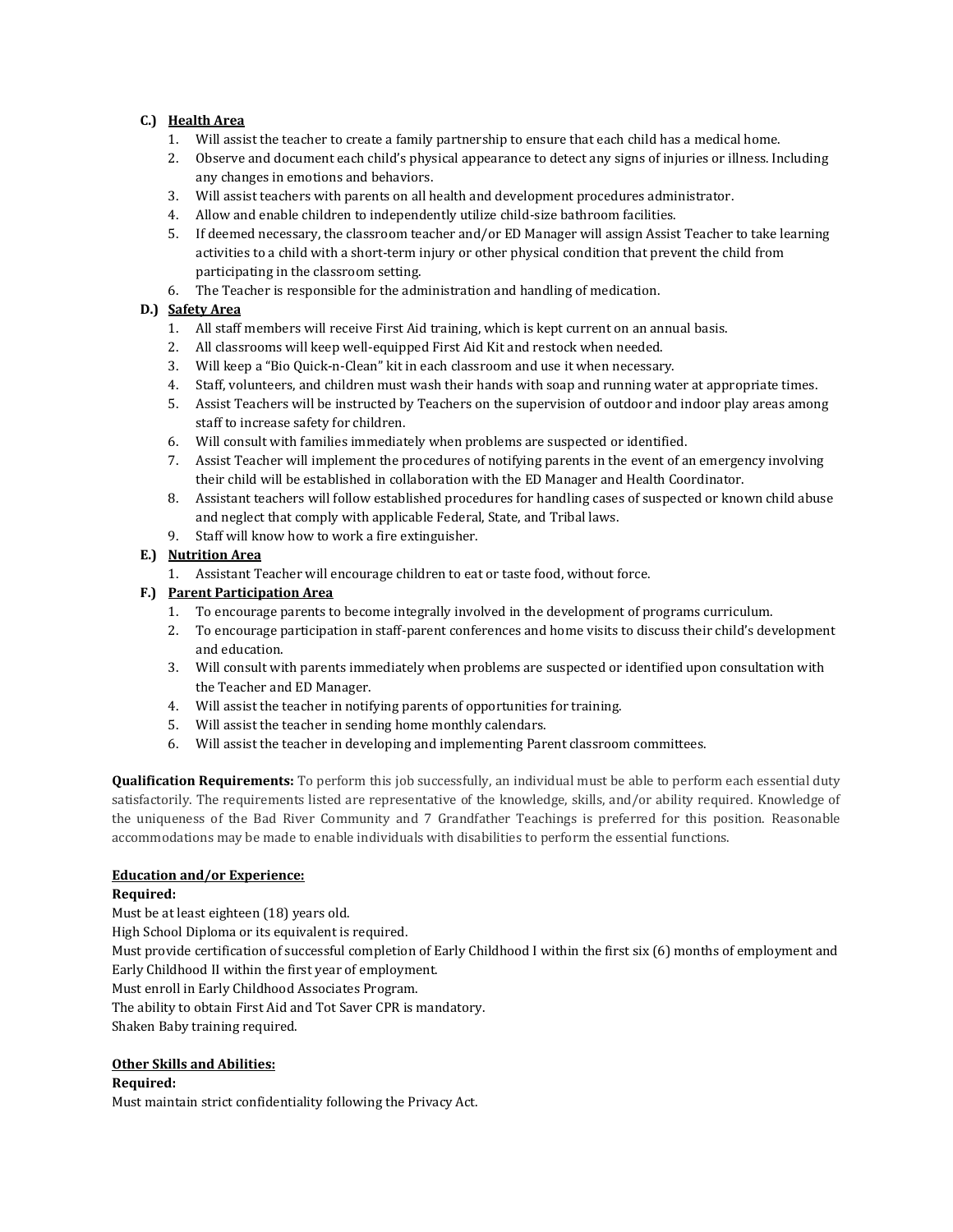### **C.) Health Area**

- 1. Will assist the teacher to create a family partnership to ensure that each child has a medical home.
- 2. Observe and document each child's physical appearance to detect any signs of injuries or illness. Including any changes in emotions and behaviors.
- 3. Will assist teachers with parents on all health and development procedures administrator.
- 4. Allow and enable children to independently utilize child-size bathroom facilities.
- 5. If deemed necessary, the classroom teacher and/or ED Manager will assign Assist Teacher to take learning activities to a child with a short-term injury or other physical condition that prevent the child from participating in the classroom setting.
- 6. The Teacher is responsible for the administration and handling of medication.

## **D.) Safety Area**

- 1. All staff members will receive First Aid training, which is kept current on an annual basis.
- 2. All classrooms will keep well-equipped First Aid Kit and restock when needed.
- 3. Will keep a "Bio Quick-n-Clean" kit in each classroom and use it when necessary.
- 4. Staff, volunteers, and children must wash their hands with soap and running water at appropriate times.
- 5. Assist Teachers will be instructed by Teachers on the supervision of outdoor and indoor play areas among staff to increase safety for children.
- 6. Will consult with families immediately when problems are suspected or identified.
- 7. Assist Teacher will implement the procedures of notifying parents in the event of an emergency involving their child will be established in collaboration with the ED Manager and Health Coordinator.
- 8. Assistant teachers will follow established procedures for handling cases of suspected or known child abuse and neglect that comply with applicable Federal, State, and Tribal laws.
- 9. Staff will know how to work a fire extinguisher.

### **E.) Nutrition Area**

1. Assistant Teacher will encourage children to eat or taste food, without force.

### **F.) Parent Participation Area**

- 1. To encourage parents to become integrally involved in the development of programs curriculum.
- 2. To encourage participation in staff-parent conferences and home visits to discuss their child's development and education.
- 3. Will consult with parents immediately when problems are suspected or identified upon consultation with the Teacher and ED Manager.
- 4. Will assist the teacher in notifying parents of opportunities for training.
- 5. Will assist the teacher in sending home monthly calendars.
- 6. Will assist the teacher in developing and implementing Parent classroom committees.

**Qualification Requirements:** To perform this job successfully, an individual must be able to perform each essential duty satisfactorily. The requirements listed are representative of the knowledge, skills, and/or ability required. Knowledge of the uniqueness of the Bad River Community and 7 Grandfather Teachings is preferred for this position. Reasonable accommodations may be made to enable individuals with disabilities to perform the essential functions.

## **Education and/or Experience:**

#### **Required:**

Must be at least eighteen (18) years old. High School Diploma or its equivalent is required. Must provide certification of successful completion of Early Childhood I within the first six (6) months of employment and Early Childhood II within the first year of employment. Must enroll in Early Childhood Associates Program. The ability to obtain First Aid and Tot Saver CPR is mandatory. Shaken Baby training required.

#### **Other Skills and Abilities:**

#### **Required:**

Must maintain strict confidentiality following the Privacy Act.